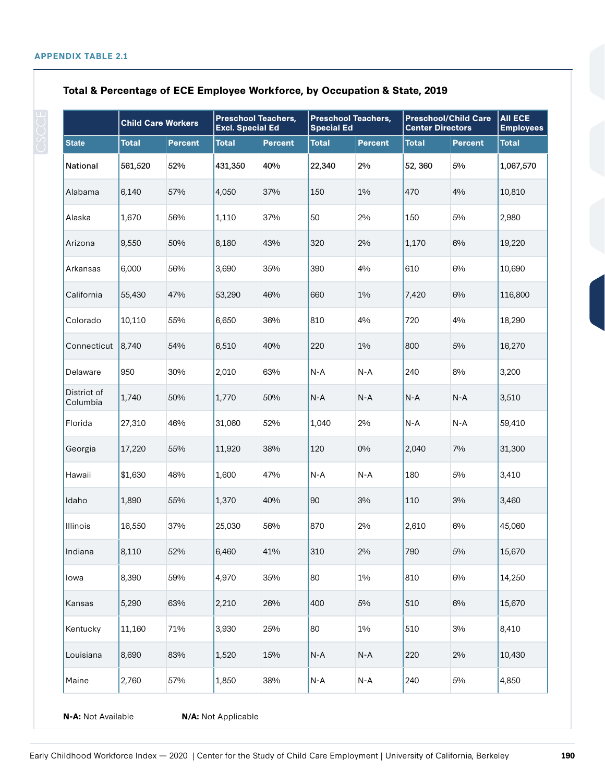|                         | <b>Child Care Workers</b> |                | <b>Preschool Teachers,</b><br><b>Excl. Special Ed</b> |                | <b>Preschool Teachers,</b><br><b>Special Ed</b> |                | <b>Preschool/Child Care</b><br><b>Center Directors</b> |                | <b>AII ECE</b><br><b>Employees</b> |
|-------------------------|---------------------------|----------------|-------------------------------------------------------|----------------|-------------------------------------------------|----------------|--------------------------------------------------------|----------------|------------------------------------|
| <b>State</b>            | <b>Total</b>              | <b>Percent</b> | <b>Total</b>                                          | <b>Percent</b> | <b>Total</b>                                    | <b>Percent</b> | <b>Total</b>                                           | <b>Percent</b> | <b>Total</b>                       |
| National                | 561,520                   | 52%            | 431,350                                               | 40%            | 22,340                                          | 2%             | 52, 360                                                | 5%             | 1,067,570                          |
| Alabama                 | 6,140                     | 57%            | 4,050                                                 | 37%            | 150                                             | 1%             | 470                                                    | 4%             | 10,810                             |
| Alaska                  | 1,670                     | 56%            | 1,110                                                 | 37%            | 50                                              | 2%             | 150                                                    | 5%             | 2,980                              |
| Arizona                 | 9,550                     | 50%            | 8,180                                                 | 43%            | 320                                             | 2%             | 1,170                                                  | 6%             | 19,220                             |
| Arkansas                | 6,000                     | 56%            | 3,690                                                 | 35%            | 390                                             | 4%             | 610                                                    | 6%             | 10,690                             |
| California              | 55,430                    | 47%            | 53,290                                                | 46%            | 660                                             | 1%             | 7,420                                                  | 6%             | 116,800                            |
| Colorado                | 10,110                    | 55%            | 6,650                                                 | 36%            | 810                                             | 4%             | 720                                                    | 4%             | 18,290                             |
| Connecticut             | 8,740                     | 54%            | 6,510                                                 | 40%            | 220                                             | 1%             | 800                                                    | 5%             | 16,270                             |
| Delaware                | 950                       | 30%            | 2,010                                                 | 63%            | $N-A$                                           | $N-A$          | 240                                                    | 8%             | 3,200                              |
| District of<br>Columbia | 1,740                     | 50%            | 1,770                                                 | 50%            | $N-A$                                           | $N-A$          | $N-A$                                                  | $N-A$          | 3,510                              |
| Florida                 | 27,310                    | 46%            | 31,060                                                | 52%            | 1,040                                           | 2%             | $N-A$                                                  | $N-A$          | 59,410                             |
| Georgia                 | 17,220                    | 55%            | 11,920                                                | 38%            | 120                                             | 0%             | 2,040                                                  | 7%             | 31,300                             |
| Hawaii                  | \$1,630                   | 48%            | 1,600                                                 | 47%            | $N-A$                                           | N-A            | 180                                                    | 5%             | 3,410                              |
| Idaho                   | 1,890                     | 55%            | 1,370                                                 | 40%            | 90                                              | 3%             | 110                                                    | 3%             | 3,460                              |
| Illinois                | 16,550                    | 37%            | 25,030                                                | 56%            | 870                                             | 2%             | 2,610                                                  | 6%             | 45,060                             |
| Indiana                 | 8,110                     | 52%            | 6,460                                                 | 41%            | 310                                             | 2%             | 790                                                    | $5\%$          | 15,670                             |
| Iowa                    | 8,390                     | 59%            | 4,970                                                 | 35%            | 80                                              | $1\%$          | 810                                                    | 6%             | 14,250                             |
| Kansas                  | 5,290                     | 63%            | 2,210                                                 | 26%            | 400                                             | 5%             | 510                                                    | 6%             | 15,670                             |
| Kentucky                | 11,160                    | 71%            | 3,930                                                 | 25%            | 80                                              | $1\%$          | 510                                                    | $3\%$          | 8,410                              |
| Louisiana               | 8,690                     | 83%            | 1,520                                                 | 15%            | N-A                                             | $N-A$          | 220                                                    | 2%             | 10,430                             |
| Maine                   | 2,760                     | 57%            | 1,850                                                 | 38%            | N-A                                             | $N-A$          | 240                                                    | 5%             | 4,850                              |

## **Total & Percentage of ECE Employee Workforce, by Occupation & State, 2019**

**N-A:** Not Available **N/A:** Not Applicable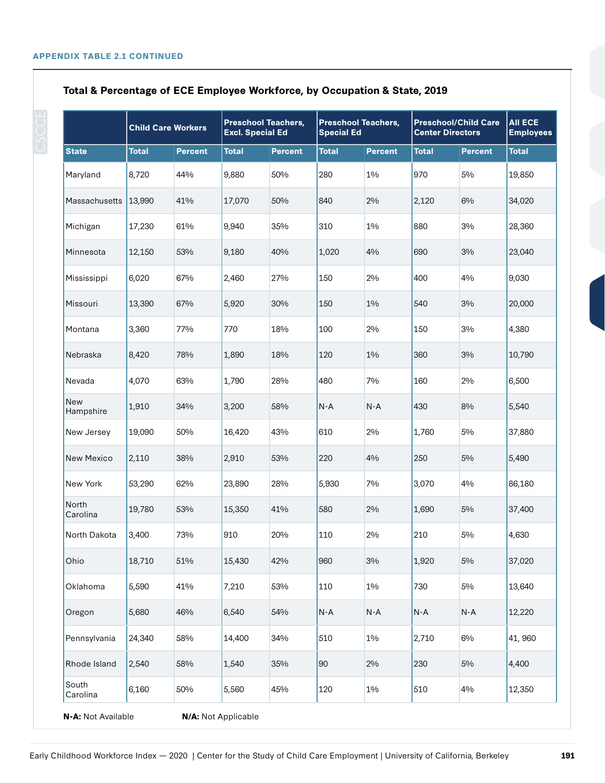|                    |              | <b>Child Care Workers</b> |                     | <b>Preschool Teachers,</b><br><b>Excl. Special Ed</b> |              | <b>Preschool Teachers,</b><br><b>Special Ed</b> |              | <b>Preschool/Child Care</b><br><b>Center Directors</b> |              |
|--------------------|--------------|---------------------------|---------------------|-------------------------------------------------------|--------------|-------------------------------------------------|--------------|--------------------------------------------------------|--------------|
| <b>State</b>       | <b>Total</b> | <b>Percent</b>            | <b>Total</b>        | <b>Percent</b>                                        | <b>Total</b> | <b>Percent</b>                                  | <b>Total</b> | <b>Percent</b>                                         | <b>Total</b> |
| Maryland           | 8,720        | 44%                       | 9,880               | 50%                                                   | 280          | 1%                                              | 970          | 5%                                                     | 19,850       |
| Massachusetts      | 13,990       | 41%                       | 17,070              | 50%                                                   | 840          | 2%                                              | 2,120        | 6%                                                     | 34,020       |
| Michigan           | 17,230       | 61%                       | 9,940               | 35%                                                   | 310          | $1\%$                                           | 880          | 3%                                                     | 28,360       |
| Minnesota          | 12,150       | 53%                       | 9,180               | 40%                                                   | 1,020        | 4%                                              | 690          | 3%                                                     | 23,040       |
| Mississippi        | 6,020        | 67%                       | 2,460               | 27%                                                   | 150          | 2%                                              | 400          | 4%                                                     | 9,030        |
| Missouri           | 13,390       | 67%                       | 5,920               | 30%                                                   | 150          | 1%                                              | 540          | 3%                                                     | 20,000       |
| Montana            | 3,360        | 77%                       | 770                 | 18%                                                   | 100          | 2%                                              | 150          | 3%                                                     | 4,380        |
| Nebraska           | 8,420        | 78%                       | 1,890               | 18%                                                   | 120          | 1%                                              | 360          | 3%                                                     | 10,790       |
| Nevada             | 4,070        | 63%                       | 1,790               | 28%                                                   | 480          | 7%                                              | 160          | 2%                                                     | 6,500        |
| New<br>Hampshire   | 1,910        | 34%                       | 3,200               | 58%                                                   | $N-A$        | $N-A$                                           | 430          | 8%                                                     | 5,540        |
| New Jersey         | 19,090       | 50%                       | 16,420              | 43%                                                   | 610          | 2%                                              | 1,760        | 5%                                                     | 37,880       |
| New Mexico         | 2,110        | 38%                       | 2,910               | 53%                                                   | 220          | 4%                                              | 250          | 5%                                                     | 5,490        |
| New York           | 53,290       | 62%                       | 23,890              | 28%                                                   | 5,930        | 7%                                              | 3,070        | 4%                                                     | 86,180       |
| North<br>Carolina  | 19,780       | 53%                       | 15,350              | 41%                                                   | 580          | 2%                                              | 1,690        | 5%                                                     | 37,400       |
| North Dakota       | 3,400        | 73%                       | 910                 | 20%                                                   | 110          | 2%                                              | 210          | 5%                                                     | 4,630        |
| Ohio               | 18,710       | 51%                       | 15,430              | 42%                                                   | 960          | $3\%$                                           | 1,920        | $5\%$                                                  | 37,020       |
| Oklahoma           | 5,590        | 41%                       | 7,210               | 53%                                                   | 110          | 1%                                              | 730          | 5%                                                     | 13,640       |
| Oregon             | 5,680        | 46%                       | 6,540               | 54%                                                   | $N-A$        | $N-A$                                           | N-A          | N-A                                                    | 12,220       |
| Pennsylvania       | 24,340       | 58%                       | 14,400              | 34%                                                   | 510          | 1%                                              | 2,710        | 6%                                                     | 41,960       |
| Rhode Island       | 2,540        | 58%                       | 1,540               | 35%                                                   | 90           | 2%                                              | 230          | 5%                                                     | 4,400        |
| South<br>Carolina  | 6,160        | 50%                       | 5,560               | 45%                                                   | 120          | 1%                                              | 510          | 4%                                                     | 12,350       |
| N-A: Not Available |              |                           | N/A: Not Applicable |                                                       |              |                                                 |              |                                                        |              |

## **Total & Percentage of ECE Employee Workforce, by Occupation & State, 2019**